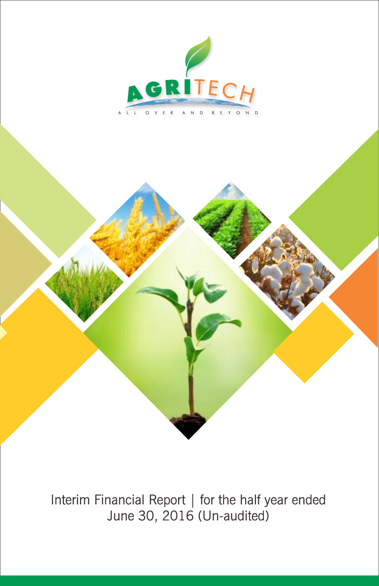

Interim Financial Report | for the half year ended June 30, 2016 (Un-audited)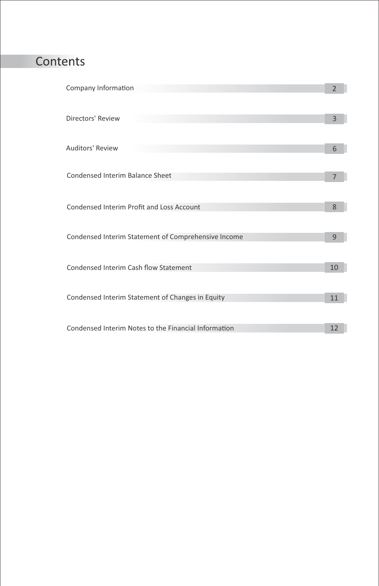### Contents

| Directors' Review<br>3                                     |  |
|------------------------------------------------------------|--|
|                                                            |  |
| Auditors' Review<br>6                                      |  |
|                                                            |  |
| Condensed Interim Balance Sheet<br>$\overline{7}$          |  |
|                                                            |  |
| Condensed Interim Profit and Loss Account<br>8             |  |
|                                                            |  |
| Condensed Interim Statement of Comprehensive Income<br>9   |  |
|                                                            |  |
| Condensed Interim Cash flow Statement<br>10                |  |
|                                                            |  |
| Condensed Interim Statement of Changes in Equity<br>11     |  |
|                                                            |  |
| Condensed Interim Notes to the Financial Information<br>12 |  |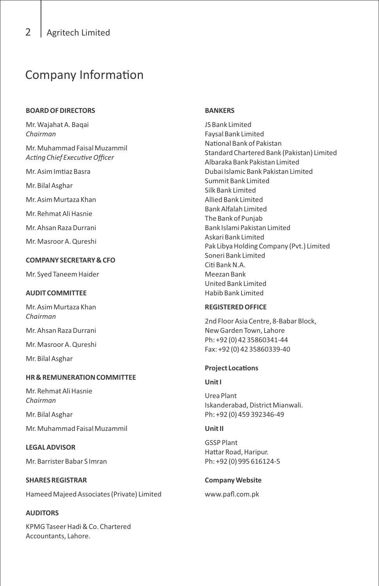### Company Information

### **BOARD OF DIRECTORS**

Mr. Wajahat A. Baqai *Chairman*

Mr. Muhammad Faisal Muzammil Acting Chief Executive Officer

Mr. Asim Imtiaz Basra

Mr. Bilal Asghar

Mr. Asim Murtaza Khan

Mr. Rehmat Ali Hasnie

Mr. Ahsan Raza Durrani

Mr. Masroor A. Qureshi

### **COMPANY SECRETARY & CFO**

Mr. Syed Taneem Haider

### **AUDIT COMMITTEE**

Mr. Asim Murtaza Khan *Chairman*

Mr. Ahsan Raza Durrani

Mr. Masroor A. Qureshi

Mr. Bilal Asghar

### **HR & REMUNERATION COMMITTEE**

Mr. Rehmat Ali Hasnie *Chairman*

Mr. Bilal Asghar

Mr. Muhammad Faisal Muzammil

### **LEGAL ADVISOR**

Mr. Barrister Babar S Imran

### **SHARES REGISTRAR**

Hameed Majeed Associates (Private) Limited

### **AUDITORS**

KPMG Taseer Hadi & Co. Chartered Accountants, Lahore.

### **BANKERS**

JS Bank Limited Faysal Bank Limited National Bank of Pakistan Standard Chartered Bank (Pakistan) Limited Albaraka Bank Pakistan Limited Dubai Islamic Bank Pakistan Limited Summit Bank Limited Silk Bank Limited Allied Bank Limited Bank Alfalah Limited The Bank of Punjab Bank Islami Pakistan Limited Askari Bank Limited Pak Libya Holding Company (Pvt.) Limited Soneri Bank Limited Citi Bank N.A. Meezan Bank United Bank Limited Habib Bank Limited

### **REGISTERED OFFICE**

2nd Floor Asia Centre, 8-Babar Block, New Garden Town, Lahore Ph: +92 (0) 42 35860341-44 Fax: +92 (0) 42 35860339-40

### **Project Locations**

#### **Unit I**

Urea Plant Iskanderabad, District Mianwali. Ph: +92 (0) 459 392346-49

### **Unit II**

GSSP Plant Hattar Road, Haripur. Ph: +92 (0) 995 616124-5

### **Company Website**

www.pafl.com.pk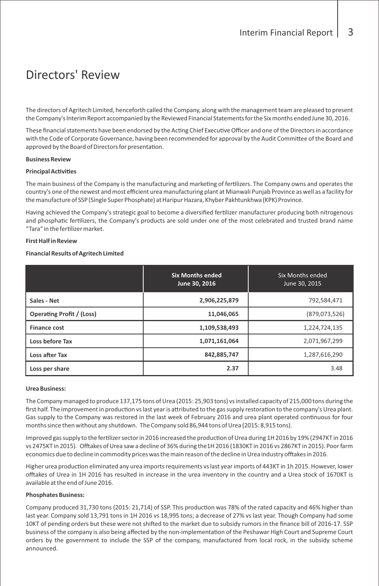### Directors' Review

The directors of Agritech Limited, henceforth called the Company, along with the management team are pleased to present the Company's Interim Report accompanied by the Reviewed Financial Statements for the Six months ended June 30, 2016.

These financial statements have been endorsed by the Acting Chief Executive Officer and one of the Directors in accordance with the Code of Corporate Governance, having been recommended for approval by the Audit Committee of the Board and approved by the Board of Directors for presentation.

#### **Business Review**

#### **Principal Activities**

The main business of the Company is the manufacturing and marketing of fertilizers. The Company owns and operates the country's one of the newest and most efficient urea manufacturing plant at Mianwali Punjab Province as well as a facility for the manufacture of SSP (Single Super Phosphate) at Haripur Hazara, Khyber Pakhtunkhwa (KPK) Province.

Having achieved the Company's strategic goal to become a diversified fertilizer manufacturer producing both nitrogenous and phosphatic fertilizers, the Company's products are sold under one of the most celebrated and trusted brand name "Tara" in the fertilizer market.

#### **First Half in Review**

#### **Financial Results of Agritech Limited**

|                                  | <b>Six Months ended</b><br>June 30, 2016 | Six Months ended<br>June 30, 2015 |
|----------------------------------|------------------------------------------|-----------------------------------|
| Sales - Net                      | 2,906,225,879                            | 792.584.471                       |
| <b>Operating Profit / (Loss)</b> | 11,046,065                               | (879, 073, 526)                   |
| <b>Finance cost</b>              | 1,109,538,493                            | 1,224,724,135                     |
| Loss before Tax                  | 1,071,161,064                            | 2,071,967,299                     |
| Loss after Tax                   | 842,885,747                              | 1,287,616,290                     |
| Loss per share                   | 2.37                                     | 3.48                              |

#### **Urea Business:**

The Company managed to produce 137,175 tons of Urea (2015: 25,903 tons) vs installed capacity of 215,000 tons during the first half. The improvement in production vs last year is attributed to the gas supply restoration to the company's Urea plant. Gas supply to the Company was restored in the last week of February 2016 and urea plant operated continuous for four months since then without any shutdown. The Company sold 86,944 tons of Urea (2015: 8,915 tons).

Improved gas supply to the fertilizer sector in 2016 increased the production of Urea during 1H 2016 by 19% (2947KT in 2016 vs 2475KT in 2015). Offtakes of Urea saw a decline of 36% during the1H 2016 (1830KT in 2016 vs 2867KT in 2015). Poor farm economics due to decline in commodity prices was the main reason of the decline in Urea industry offtakes in 2016.

Higher urea production eliminated any urea imports requirements vs last year imports of 443KT in 1h 2015. However, lower offtakes of Urea in 1H 2016 has resulted in increase in the urea inventory in the country and a Urea stock of 1670KT is available at the end of June 2016.

#### **Phosphates Business:**

Company produced 31,730 tons (2015: 21,714) of SSP. This production was 78% of the rated capacity and 46% higher than last year. Company sold 13,791 tons in 1H 2016 vs 18,995 tons; a decrease of 27% vs last year. Though Company had some 10KT of pending orders but these were not shifted to the market due to subsidy rumors in the finance bill of 2016-17. SSP business of the company is also being affected by the non-implementation of the Peshawar High Court and Supreme Court orders by the government to include the SSP of the company, manufactured from local rock, in the subsidy scheme announced.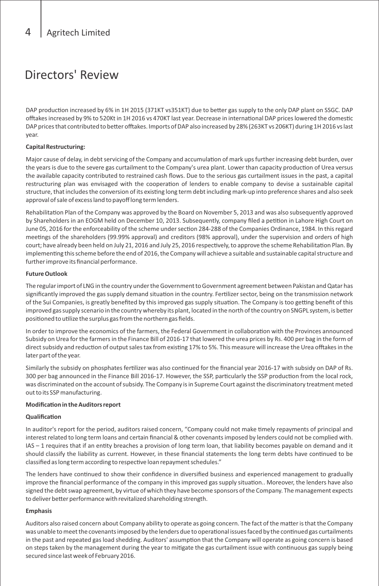### Directors' Review

DAP production increased by 6% in 1H 2015 (371KT vs351KT) due to better gas supply to the only DAP plant on SSGC. DAP offtakes increased by 9% to 520Kt in 1H 2016 vs 470KT last year. Decrease in international DAP prices lowered the domestic DAP prices that contributed to better offtakes. Imports of DAP also increased by 28% (263KT vs 206KT) during 1H 2016 vs last year.

### **Capital Restructuring:**

Major cause of delay, in debt servicing of the Company and accumulation of mark ups further increasing debt burden, over the years is due to the severe gas curtailment to the Company's urea plant. Lower than capacity production of Urea versus the available capacity contributed to restrained cash flows. Due to the serious gas curtailment issues in the past, a capital restructuring plan was envisaged with the cooperation of lenders to enable company to devise a sustainable capital structure, that includes the conversion of its existing long term debt including mark-up into preference shares and also seek approval of sale of excess land to payoff long term lenders.

Rehabilitation Plan of the Company was approved by the Board on November 5, 2013 and was also subsequently approved by Shareholders in an EOGM held on December 10, 2013. Subsequently, company filed a petition in Lahore High Court on June 05, 2016 for the enforceability of the scheme under section 284-288 of the Companies Ordinance, 1984. In this regard meetings of the shareholders (99.99% approval) and creditors (98% approval), under the supervision and orders of high court; have already been held on July 21, 2016 and July 25, 2016 respectively, to approve the scheme Rehabilitation Plan. By implementing this scheme before the end of 2016, the Company will achieve a suitable and sustainable capital structure and further improve its financial performance.

#### **Future Outlook**

The regular import of LNG in the country under the Government to Government agreement between Pakistan and Qatar has significantly improved the gas supply demand situation in the country. Fertilizer sector, being on the transmission network of the Sui Companies, is greatly benefited by this improved gas supply situation. The Company is too getting benefit of this improved gas supply scenario in the country whereby its plant, located in the north of the country on SNGPL system, is better positioned to utilize the surplus gas from the northern gas fields.

In order to improve the economics of the farmers, the Federal Government in collaboration with the Provinces announced Subsidy on Urea for the farmers in the Finance Bill of 2016-17 that lowered the urea prices by Rs. 400 per bag in the form of direct subsidy and reduction of output sales tax from existing 17% to 5%. This measure will increase the Urea offtakes in the later part of the year.

Similarly the subsidy on phosphates fertilizer was also continued for the financial year 2016-17 with subsidy on DAP of Rs. 300 per bag announced in the Finance Bill 2016-17. However, the SSP, particularly the SSP production from the local rock, was discriminated on the account of subsidy. The Company is in Supreme Court against the discriminatory treatment meted out to its SSP manufacturing.

#### **Modification in the Auditors report**

#### **Qualification**

In auditor's report for the period, auditors raised concern, "Company could not make timely repayments of principal and interest related to long term loans and certain financial & other covenants imposed by lenders could not be complied with. IAS - 1 requires that if an entity breaches a provision of long term loan, that liability becomes payable on demand and it should classify the liability as current. However, in these financial statements the long term debts have continued to be classified as long term according to respective loan repayment schedules."

The lenders have continued to show their confidence in diversified business and experienced management to gradually improve the financial performance of the company in this improved gas supply situation.. Moreover, the lenders have also signed the debt swap agreement, by virtue of which they have become sponsors of the Company. The management expects to deliver better performance with revitalized shareholding strength.

#### **Emphasis**

Auditors also raised concern about Company ability to operate as going concern. The fact of the matter is that the Company was unable to meet the covenants imposed by the lenders due to operational issues faced by the continued gas curtailments in the past and repeated gas load shedding. Auditors' assumption that the Company will operate as going concern is based on steps taken by the management during the year to mitigate the gas curtailment issue with continuous gas supply being secured since last week of February 2016.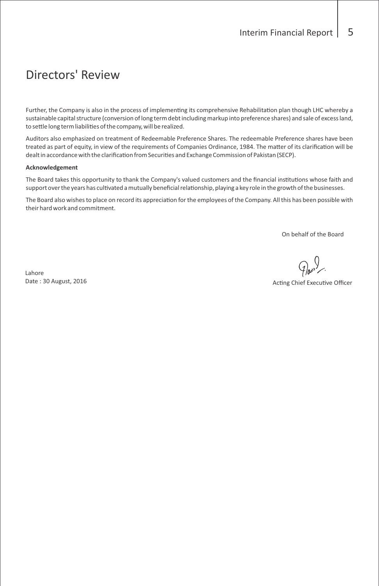### Directors' Review

Further, the Company is also in the process of implementing its comprehensive Rehabilitation plan though LHC whereby a sustainable capital structure (conversion of long term debt including markup into preference shares) and sale of excess land, to settle long term liabilities of the company, will be realized.

Auditors also emphasized on treatment of Redeemable Preference Shares. The redeemable Preference shares have been treated as part of equity, in view of the requirements of Companies Ordinance, 1984. The matter of its clarification will be dealt in accordance with the clarification from Securities and Exchange Commission of Pakistan (SECP).

#### **Acknowledgement**

The Board takes this opportunity to thank the Company's valued customers and the financial institutions whose faith and support over the years has cultivated a mutually beneficial relationship, playing a key role in the growth of the businesses.

The Board also wishes to place on record its appreciation for the employees of the Company. All this has been possible with their hard work and commitment.

On behalf of the Board

Lahore Date : 30 August, 2016

Acting Chief Executive Officer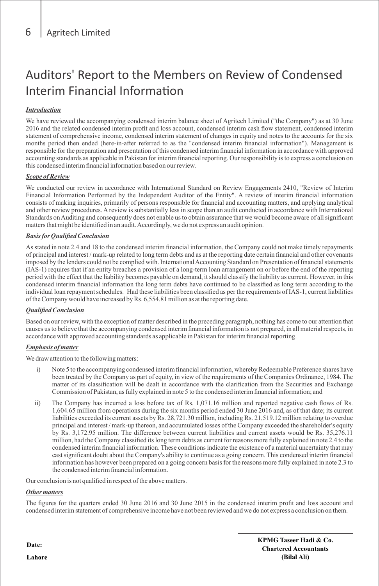### Auditors' Report to the Members on Review of Condensed Interim Financial Information

### *Introduction*

We have reviewed the accompanying condensed interim balance sheet of Agritech Limited ("the Company") as at 30 June 2016 and the related condensed interim profit and loss account, condensed interim cash flow statement, condensed interim statement of comprehensive income, condensed interim statement of changes in equity and notes to the accounts for the six months period then ended (here-in-after referred to as the "condensed interim financial information"). Management is responsible for the preparation and presentation of this condensed interim financial information in accordance with approved accounting standards as applicable in Pakistan for interim financial reporting. Our responsibility is to express a conclusion on this condensed interim financial information based on our review.

### *Scope of Review*

We conducted our review in accordance with International Standard on Review Engagements 2410, "Review of Interim Financial Information Performed by the Independent Auditor of the Entity". A review of interim financial information consists of making inquiries, primarily of persons responsible for financial and accounting matters, and applying analytical and other review procedures. Areview is substantially less in scope than an audit conducted in accordance with International Standards on Auditing and consequently does not enable us to obtain assurance that we would become aware of all significant matters that might be identified in an audit. Accordingly, we do not express an audit opinion.

### *Basis for Qualified Conclusion*

As stated in note 2.4 and 18 to the condensed interim financial information, the Company could not make timely repayments of principal and interest / mark-up related to long term debts and as at the reporting date certain financial and other covenants imposed by the lenders could not be complied with. International Accounting Standard on Presentation of financial statements (IAS-1) requires that if an entity breaches a provision of a long-term loan arrangement on or before the end of the reporting period with the effect that the liability becomes payable on demand, it should classify the liability as current. However, in this condensed interim financial information the long term debts have continued to be classified as long term according to the individual loan repayment schedules. Had these liabilities been classified as per the requirements of IAS-1, current liabilities of the Company would have increased by Rs. 6,554.81 million as at the reporting date.

### *Qualified Conclusion*

Based on our review, with the exception of matter described in the preceding paragraph, nothing has come to our attention that causes us to believe that the accompanying condensed interim financial information is not prepared, in all material respects, in accordance with approved accounting standards as applicable in Pakistan for interim financial reporting.

### *Emphasis of matter*

We draw attention to the following matters:

- i) Note 5 to the accompanying condensed interim financial information, whereby Redeemable Preference shares have been treated by the Company as part of equity, in view of the requirements of the Companies Ordinance, 1984. The matter of its classification will be dealt in accordance with the clarification from the Securities and Exchange Commission of Pakistan, as fully explained in note 5 to the condensed interim financial information; and
- ii) The Company has incurred a loss before tax of Rs. 1,071.16 million and reported negative cash flows of Rs. 1,604.65 million from operations during the six months period ended 30 June 2016 and, as of that date; its current liabilities exceeded its current assets by Rs. 28,721.30 million, including Rs. 21,519.12 million relating to overdue principal and interest / mark-up thereon, and accumulated losses of the Company exceeded the shareholder's equity by Rs. 3,172.95 million. The difference between current liabilities and current assets would be Rs. 35,276.11 million, had the Company classified its long term debts as current for reasons more fully explained in note 2.4 to the condensed interim financial information. These conditions indicate the existence of a material uncertainty that may cast significant doubt about the Company's ability to continue as a going concern. This condensed interim financial information has however been prepared on a going concern basis for the reasons more fully explained in note 2.3 to the condensed interim financial information.

Our conclusion is not qualified in respect of the above matters.

### *Other matters*

The figures for the quarters ended 30 June 2016 and 30 June 2015 in the condensed interim profit and loss account and condensed interim statement of comprehensive income have not been reviewed and we do not express a conclusion on them.

**Date:** 

**Lahore**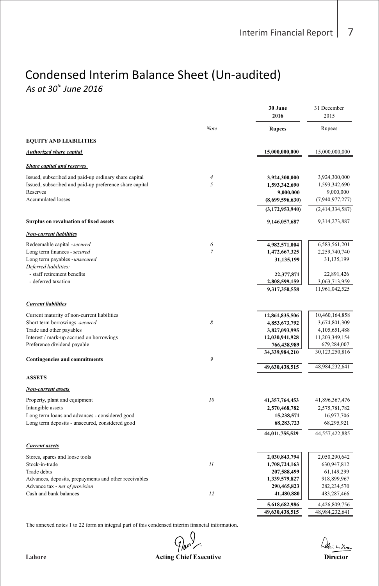### Condensed Interim Balance Sheet (Un-audited) *As at 30<sup>th</sup> June 2016*

|                                                                                                                  |                       | 30 June<br>2016                 | 31 December<br>2015             |
|------------------------------------------------------------------------------------------------------------------|-----------------------|---------------------------------|---------------------------------|
|                                                                                                                  | Note                  | <b>Rupees</b>                   | Rupees                          |
| <b>EQUITY AND LIABILITIES</b>                                                                                    |                       |                                 |                                 |
| Authorized share capital                                                                                         |                       | 15,000,000,000                  | 15,000,000,000                  |
| <b>Share capital and reserves</b>                                                                                |                       |                                 |                                 |
| Issued, subscribed and paid-up ordinary share capital<br>Issued, subscribed and paid-up preference share capital | $\boldsymbol{4}$<br>5 | 3,924,300,000<br>1,593,342,690  | 3,924,300,000<br>1,593,342,690  |
| Reserves<br><b>Accumulated losses</b>                                                                            |                       | 9,000,000<br>(8,699,596,630)    | 9,000,000<br>(7,940,977,277)    |
|                                                                                                                  |                       | (3,172,953,940)                 | (2,414,334,587)                 |
| Surplus on revaluation of fixed assets                                                                           |                       | 9,146,057,687                   | 9,314,273,887                   |
| <b>Non-current liabilities</b>                                                                                   |                       |                                 |                                 |
| Redeemable capital - secured                                                                                     | 6<br>$\overline{7}$   | 4,982,571,004                   | 6,583,561,201                   |
| Long term finances - secured<br>Long term payables - unsecured<br>Deferred liabilities:                          |                       | 1,472,667,325<br>31,135,199     | 2,259,740,740<br>31,135,199     |
| - staff retirement benefits<br>- deferred taxation                                                               |                       | 22,377,871                      | 22,891,426                      |
|                                                                                                                  |                       | 2,808,599,159<br>9,317,350,558  | 3,063,713,959<br>11,961,042,525 |
| <b>Current liabilities</b>                                                                                       |                       |                                 |                                 |
| Current maturity of non-current liabilities                                                                      |                       | 12,861,835,506                  | 10,460,164,858                  |
| Short term borrowings -secured                                                                                   | 8                     | 4,853,673,792                   | 3,674,801,309                   |
| Trade and other payables<br>Interest / mark-up accrued on borrowings                                             |                       | 3,827,093,995<br>12,030,941,928 | 4,105,651,488<br>11,203,349,154 |
| Preference dividend payable                                                                                      |                       | 766,438,989                     | 679,284,007                     |
|                                                                                                                  |                       | 34,339,984,210                  | 30,123,250,816                  |
| <b>Contingencies and commitments</b>                                                                             | 9                     | 49,630,438,515                  | 48,984,232,641                  |
| <b>ASSETS</b>                                                                                                    |                       |                                 |                                 |
| Non-current assets                                                                                               |                       |                                 |                                 |
| Property, plant and equipment                                                                                    | 10                    | 41,357,764,453                  | 41,896,367,476                  |
| Intangible assets                                                                                                |                       | 2,570,468,782                   | 2,575,781,782                   |
| Long term loans and advances - considered good<br>Long term deposits - unsecured, considered good                |                       | 15,238,571<br>68,283,723        | 16,977,706<br>68,295,921        |
|                                                                                                                  |                       | 44,011,755,529                  | 44,557,422,885                  |
| <b>Current assets</b>                                                                                            |                       |                                 |                                 |
| Stores, spares and loose tools                                                                                   |                       | 2,030,843,794                   | 2,050,290,642                   |
| Stock-in-trade                                                                                                   | 11                    | 1,708,724,163                   | 630,947,812                     |
| Trade debts                                                                                                      |                       | 207,588,499                     | 61,149,299                      |
| Advances, deposits, prepayments and other receivables<br>Advance tax - net of provision                          |                       | 1,339,579,827<br>290,465,823    | 918,899,967<br>282,234,570      |
| Cash and bank balances                                                                                           | 12                    | 41,480,880                      | 483,287,466                     |
|                                                                                                                  |                       | 5,618,682,986                   | 4,426,809,756                   |
|                                                                                                                  |                       | 49,630,438,515                  | 48,984,232,641                  |

The annexed notes 1 to 22 form an integral part of this condensed interim financial information.

 $\mathcal{G}_{\bm{w}^{\bm{s}}}^{\left( \bm{\mu} \right)}$ **Lahore Acting Chief Executive Director**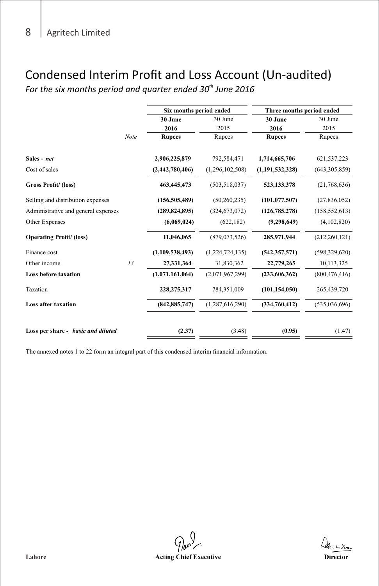### Condensed Interim Profit and Loss Account (Un-audited)

For the six months period and quarter ended 30<sup>th</sup> June 2016

|                                     |      | Six months period ended |                 | Three months period ended |                 |
|-------------------------------------|------|-------------------------|-----------------|---------------------------|-----------------|
|                                     |      | 30 June                 | 30 June         | 30 June                   | 30 June         |
|                                     |      | 2016                    | 2015            | 2016                      | 2015            |
|                                     | Note | <b>Rupees</b>           | Rupees          | <b>Rupees</b>             | Rupees          |
| Sales - net                         |      | 2,906,225,879           | 792,584,471     | 1,714,665,706             | 621, 537, 223   |
| Cost of sales                       |      | (2,442,780,406)         | (1,296,102,508) | (1, 191, 532, 328)        | (643, 305, 859) |
| <b>Gross Profit/ (loss)</b>         |      | 463,445,473             | (503, 518, 037) | 523,133,378               | (21,768,636)    |
| Selling and distribution expenses   |      | (156, 505, 489)         | (50, 260, 235)  | (101, 077, 507)           | (27,836,052)    |
| Administrative and general expenses |      | (289, 824, 895)         | (324, 673, 072) | (126, 785, 278)           | (158, 552, 613) |
| Other Expenses                      |      | (6,069,024)             | (622, 182)      | (9, 298, 649)             | (4,102,820)     |
| <b>Operating Profit/ (loss)</b>     |      | 11,046,065              | (879,073,526)   | 285,971,944               | (212, 260, 121) |
| Finance cost                        |      | (1,109,538,493)         | (1,224,724,135) | (542, 357, 571)           | (598, 329, 620) |
| Other income                        | 13   | 27,331,364              | 31,830,362      | 22,779,265                | 10,113,325      |
| <b>Loss before taxation</b>         |      | (1,071,161,064)         | (2,071,967,299) | (233,606,362)             | (800, 476, 416) |
| Taxation                            |      | 228,275,317             | 784,351,009     | (101, 154, 050)           | 265,439,720     |
| <b>Loss after taxation</b>          |      | (842, 885, 747)         | (1,287,616,290) | (334,760,412)             | (535,036,696)   |
|                                     |      |                         |                 |                           |                 |
| Loss per share - basic and diluted  |      | (2.37)                  | (3.48)          | (0.95)                    | (1.47)          |

The annexed notes 1 to 22 form an integral part of this condensed interim financial information.

 $\mathcal{G}_h$ **Lahore Acting Chief Executive Director**

hodin milian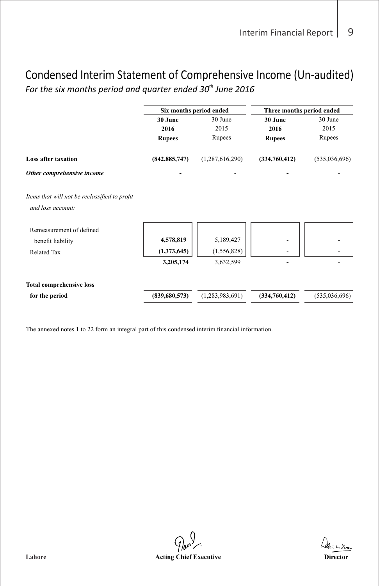### Condensed Interim Statement of Comprehensive Income (Un-audited) For the six months period and quarter ended 30<sup>th</sup> June 2016

|                                                                     |                          | Six months period ended<br>Three months period ended |               |               |
|---------------------------------------------------------------------|--------------------------|------------------------------------------------------|---------------|---------------|
|                                                                     | 30 June                  | 30 June                                              | 30 June       | 30 June       |
|                                                                     | 2016                     | 2015                                                 | 2016          | 2015          |
|                                                                     | <b>Rupees</b>            | Rupees                                               | <b>Rupees</b> | Rupees        |
| <b>Loss after taxation</b>                                          | (842, 885, 747)          | (1,287,616,290)                                      | (334,760,412) | (535,036,696) |
| Other comprehensive income                                          |                          |                                                      |               |               |
| Items that will not be reclassified to profit<br>and loss account:  |                          |                                                      |               |               |
| Remeasurement of defined<br>benefit liability<br><b>Related Tax</b> | 4,578,819<br>(1,373,645) | 5,189,427<br>(1, 556, 828)                           |               |               |
|                                                                     | 3,205,174                | 3,632,599                                            |               |               |
| <b>Total comprehensive loss</b>                                     |                          |                                                      |               |               |
| for the period                                                      | (839,680,573)            | (1,283,983,691)                                      | (334,760,412) | (535,036,696) |
|                                                                     |                          |                                                      |               |               |

The annexed notes 1 to 22 form an integral part of this condensed interim financial information.

 $\mathcal{G}_{\boldsymbol{w}}^{\mathcal{Y}}$ **Lahore Acting Chief Executive Director**

harri milian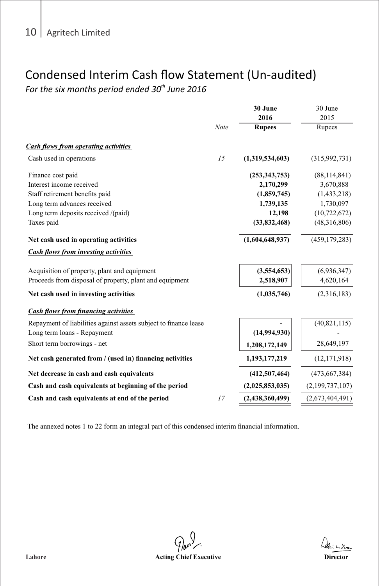### Condensed Interim Cash flow Statement (Un-audited)

For the six months period ended 30<sup>th</sup> June 2016

|                                                                  |      | 30 June         | 30 June         |
|------------------------------------------------------------------|------|-----------------|-----------------|
|                                                                  |      | 2016            | 2015            |
|                                                                  | Note | <b>Rupees</b>   | Rupees          |
| Cash flows from operating activities                             |      |                 |                 |
| Cash used in operations                                          | 15   | (1,319,534,603) | (315,992,731)   |
| Finance cost paid                                                |      | (253,343,753)   | (88, 114, 841)  |
| Interest income received                                         |      | 2,170,299       | 3,670,888       |
| Staff retirement benefits paid                                   |      | (1,859,745)     | (1,433,218)     |
| Long term advances received                                      |      | 1,739,135       | 1,730,097       |
| Long term deposits received /(paid)                              |      | 12,198          | (10, 722, 672)  |
| Taxes paid                                                       |      | (33,832,468)    | (48,316,806)    |
| Net cash used in operating activities                            |      | (1,604,648,937) | (459, 179, 283) |
| <b>Cash flows from investing activities</b>                      |      |                 |                 |
| Acquisition of property, plant and equipment                     |      | (3,554,653)     | (6,936,347)     |
| Proceeds from disposal of property, plant and equipment          |      | 2,518,907       | 4,620,164       |
| Net cash used in investing activities                            |      | (1,035,746)     | (2,316,183)     |
| <b>Cash flows from financing activities</b>                      |      |                 |                 |
| Repayment of liabilities against assets subject to finance lease |      |                 | (40, 821, 115)  |
| Long term loans - Repayment                                      |      | (14,994,930)    |                 |
| Short term borrowings - net                                      |      | 1,208,172,149   | 28,649,197      |
| Net cash generated from / (used in) financing activities         |      | 1,193,177,219   | (12, 171, 918)  |
| Net decrease in cash and cash equivalents                        |      | (412, 507, 464) | (473, 667, 384) |
| Cash and cash equivalents at beginning of the period             |      | (2,025,853,035) | (2,199,737,107) |
| Cash and cash equivalents at end of the period                   | 17   | (2,438,360,499) | (2,673,404,491) |

The annexed notes 1 to 22 form an integral part of this condensed interim financial information.

 $\mathcal{D}_{\boldsymbol{\theta}^{\boldsymbol{\omega}}}$ Lahore *Chief Executive* **Acting Chief Executive** *Director* **Director**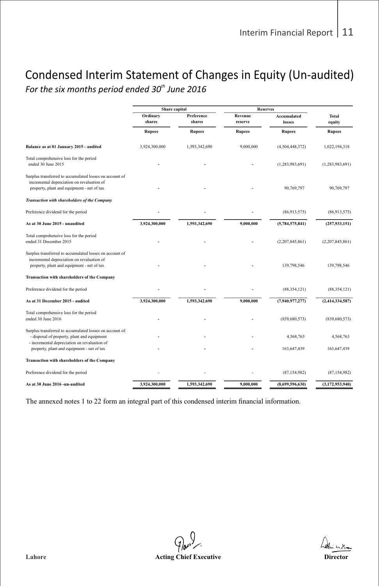# Condensed Interim Statement of Changes in Equity (Un-audited)

For the six months period ended 30<sup>th</sup> June 2016

|                                                                                                                                                     | Share capital      |                      |                                       |                              |                        |
|-----------------------------------------------------------------------------------------------------------------------------------------------------|--------------------|----------------------|---------------------------------------|------------------------------|------------------------|
|                                                                                                                                                     | Ordinary<br>shares | Preference<br>shares | <b>Reserves</b><br>Revenue<br>reserve | <b>Accumulated</b><br>losses | <b>Total</b><br>equity |
|                                                                                                                                                     | <b>Rupees</b>      | <b>Rupees</b>        | <b>Rupees</b>                         | <b>Rupees</b>                | <b>Rupees</b>          |
| Balance as at 01 January 2015 - audited                                                                                                             | 3,924,300,000      | 1,593,342,690        | 9,000,000                             | (4,504,448,372)              | 1,022,194,318          |
| Total comprehensive loss for the period<br>ended 30 June 2015                                                                                       |                    |                      |                                       | (1, 283, 983, 691)           | (1,283,983,691)        |
| Surplus transferred to accumulated losses on account of<br>incremental depreciation on revaluation of<br>property, plant and equipment - net of tax |                    |                      |                                       | 90,769,797                   | 90,769,797             |
| Transaction with shareholders of the Company                                                                                                        |                    |                      |                                       |                              |                        |
| Preference dividend for the period                                                                                                                  |                    |                      |                                       | (86,913,575)                 | (86,913,575)           |
| As at 30 June 2015 - unaudited                                                                                                                      | 3,924,300,000      | 1,593,342,690        | 9,000,000                             | (5,784,575,841)              | (257, 933, 151)        |
| Total comprehensive loss for the period<br>ended 31 December 2015                                                                                   |                    |                      |                                       | (2,207,845,861)              | (2,207,845,861)        |
| Surplus transferred to accumulated losses on account of<br>incremental depreciation on revaluation of<br>property, plant and equipment - net of tax |                    |                      |                                       | 139,798,546                  | 139,798,546            |
| Transaction with shareholders of the Company                                                                                                        |                    |                      |                                       |                              |                        |
| Preference dividend for the period                                                                                                                  |                    |                      |                                       | (88, 354, 121)               | (88, 354, 121)         |
| As at 31 December 2015 - audited                                                                                                                    | 3,924,300,000      | 1,593,342,690        | 9,000,000                             | (7,940,977,277)              | (2,414,334,587)        |
| Total comprehensive loss for the period<br>ended 30 June 2016                                                                                       |                    |                      |                                       | (839, 680, 573)              | (839, 680, 573)        |
| Surplus transferred to accumulated losses on account of:<br>- disposal of property, plant and equipment                                             |                    |                      |                                       | 4.568.763                    | 4.568.763              |
| - incremental depreciation on revaluation of<br>property, plant and equipment - net of tax                                                          |                    |                      |                                       | 163,647,439                  | 163,647,439            |
| Transaction with shareholders of the Company                                                                                                        |                    |                      |                                       |                              |                        |
| Preference dividend for the period                                                                                                                  |                    |                      |                                       | (87, 154, 982)               | (87, 154, 982)         |
| As at 30 June 2016 -un-audited                                                                                                                      | 3,924,300,000      | 1,593,342,690        | 9,000,000                             | (8,699,596,630)              | (3,172,953,940)        |

 The annexed notes 1 to 22 form an integral part of this condensed interim financial information.

 $\mathcal{Q}_{\boldsymbol{w}}$ **Lahore Acting Chief Executive Director**

hedin milian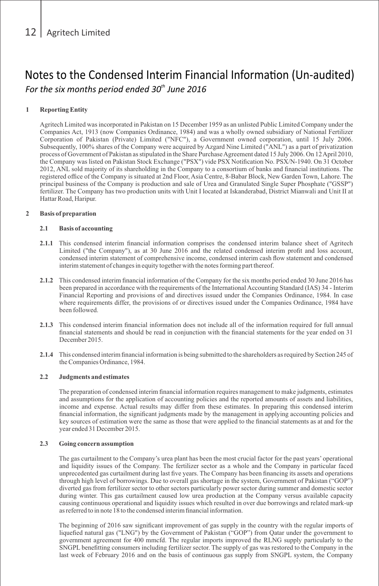### **1 Reporting Entity**

Agritech Limited was incorporated in Pakistan on 15 December 1959 as an unlisted Public Limited Company under the Companies Act, 1913 (now Companies Ordinance, 1984) and was a wholly owned subsidiary of National Fertilizer Corporation of Pakistan (Private) Limited ("NFC"), a Government owned corporation, until 15 July 2006. Subsequently, 100% shares of the Company were acquired by Azgard Nine Limited ("ANL") as a part of privatization process of Government of Pakistan as stipulated in the Share Purchase Agreement dated 15 July 2006. On 12 April 2010, the Company was listed on Pakistan Stock Exchange ("PSX") vide PSX Notification No. PSX/N-1940. On 31 October 2012, ANL sold majority of its shareholding in the Company to a consortium of banks and financial institutions. The registered office of the Company is situated at 2nd Floor, Asia Centre, 8-Babar Block, New Garden Town, Lahore. The principal business of the Company is production and sale of Urea and Granulated Single Super Phosphate ("GSSP") fertilizer. The Company has two production units with Unit I located at Iskanderabad, District Mianwali and Unit II at Hattar Road, Haripur.

### **2 Basis of preparation**

### **2.1 Basis of accounting**

- **2.1.1** This condensed interim financial information comprises the condensed interim balance sheet of Agritech Limited ("the Company"), as at 30 June 2016 and the related condensed interim profit and loss account, condensed interim statement of comprehensive income, condensed interim cash flow statement and condensed interim statement of changes in equity together with the notes forming part thereof.
- **2.1.2** This condensed interim financial information of the Company for the six months period ended 30 June 2016 has been prepared in accordance with the requirements of the International Accounting Standard (IAS) 34 - Interim Financial Reporting and provisions of and directives issued under the Companies Ordinance, 1984. In case where requirements differ, the provisions of or directives issued under the Companies Ordinance, 1984 have been followed.
- **2.1.3** This condensed interim financial information does not include all of the information required for full annual financial statements and should be read in conjunction with the financial statements for the year ended on 31 December 2015.
- **2.1.4** This condensed interim financial information is being submitted to the shareholders as required by Section 245 of the Companies Ordinance, 1984.

### **2.2 Judgments and estimates**

The preparation of condensed interim financial information requires management to make judgments, estimates and assumptions for the application of accounting policies and the reported amounts of assets and liabilities, income and expense. Actual results may differ from these estimates. In preparing this condensed interim financial information, the significant judgments made by the management in applying accounting policies and key sources of estimation were the same as those that were applied to the financial statements as at and for the year ended 31 December 2015.

### **2.3 Going concern assumption**

The gas curtailment to the Company's urea plant has been the most crucial factor for the past years' operational and liquidity issues of the Company. The fertilizer sector as a whole and the Company in particular faced unprecedented gas curtailment during last five years. The Company has been financing its assets and operations through high level of borrowings. Due to overall gas shortage in the system, Government of Pakistan ("GOP") diverted gas from fertilizer sector to other sectors particularly power sector during summer and domestic sector during winter. This gas curtailment caused low urea production at the Company versus available capacity causing continuous operational and liquidity issues which resulted in over due borrowings and related mark-up as referred to in note 18 to the condensed interim financial information.

The beginning of 2016 saw significant improvement of gas supply in the country with the regular imports of liquefied natural gas ("LNG") by the Government of Pakistan ("GOP") from Qatar under the government to government agreement for 400 mmcfd. The regular imports improved the RLNG supply particularly to the SNGPL benefitting consumers including fertilizer sector. The supply of gas was restored to the Company in the last week of February 2016 and on the basis of continuous gas supply from SNGPL system, the Company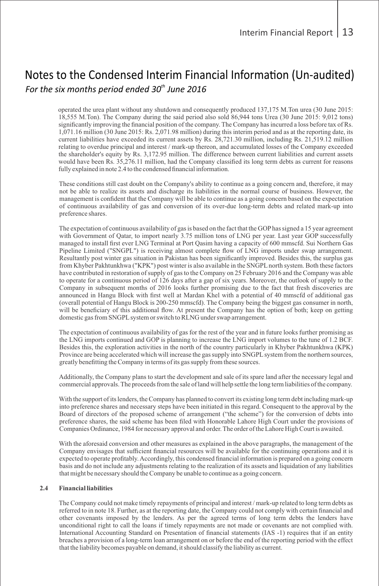operated the urea plant without any shutdown and consequently produced 137,175 M.Ton urea (30 June 2015: 18,555 M.Ton). The Company during the said period also sold 86,944 tons Urea (30 June 2015: 9,012 tons) significantly improving the financial position of the company. The Company has incurred a loss before tax of Rs. 1,071.16 million (30 June 2015: Rs. 2,071.98 million) during this interim period and as at the reporting date, its current liabilities have exceeded its current assets by Rs. 28,721.30 million, including Rs. 21,519.12 million relating to overdue principal and interest / mark-up thereon, and accumulated losses of the Company exceeded the shareholder's equity by Rs. 3,172.95 million. The difference between current liabilities and current assets would have been Rs. 35,276.11 million, had the Company classified its long term debts as current for reasons fully explained in note 2.4 to the condensed financial information.

These conditions still cast doubt on the Company's ability to continue as a going concern and, therefore, it may not be able to realize its assets and discharge its liabilities in the normal course of business. However, the management is confident that the Company will be able to continue as a going concern based on the expectation of continuous availability of gas and conversion of its over-due long-term debts and related mark-up into preference shares.

The expectation of continuous availability of gas is based on the fact that the GOPhas signed a 15 year agreement with Government of Qatar, to import nearly 3.75 million tons of LNG per year. Last year GOP successfully managed to install first ever LNG Terminal at Port Qasim having a capacity of 600 mmscfd. Sui Northern Gas Pipeline Limited ("SNGPL") is receiving almost complete flow of LNG imports under swap arrangement. Resultantly post winter gas situation in Pakistan has been significantly improved. Besides this, the surplus gas from Khyber Pakhtunkhwa ("KPK") post winter is also available in the SNGPL north system. Both these factors have contributed in restoration of supply of gas to the Company on 25 February 2016 and the Company was able to operate for a continuous period of 126 days after a gap of six years. Moreover, the outlook of supply to the Company in subsequent months of 2016 looks further promising due to the fact that fresh discoveries are announced in Hangu Block with first well at Mardan Khel with a potential of 40 mmscfd of additional gas (overall potential of Hangu Block is 200-250 mmscfd). The Company being the biggest gas consumer in north, will be beneficiary of this additional flow. At present the Company has the option of both; keep on getting domestic gas from SNGPLsystem or switch to RLNG under swap arrangement.

The expectation of continuous availability of gas for the rest of the year and in future looks further promising as the LNG imports continued and GOP is planning to increase the LNG import volumes to the tune of 1.2 BCF. Besides this, the exploration activities in the north of the country particularly in Khyber Pakhtunkhwa (KPK) Province are being accelerated which will increase the gas supply into SNGPL system from the northern sources, greatly benefitting the Company in terms of its gas supply from these sources.

Additionally, the Company plans to start the development and sale of its spare land after the necessary legal and commercial approvals. The proceeds from the sale of land will help settle the long term liabilities of the company.

With the support of its lenders, the Company has planned to convert its existing long term debt including mark-up into preference shares and necessary steps have been initiated in this regard. Consequent to the approval by the Board of directors of the proposed scheme of arrangement ("the scheme") for the conversion of debts into preference shares, the said scheme has been filed with Honorable Lahore High Court under the provisions of Companies Ordinance, 1984 for necessary approval and order. The order of the Lahore High Court is awaited.

With the aforesaid conversion and other measures as explained in the above paragraphs, the management of the Company envisages that sufficient financial resources will be available for the continuing operations and it is expected to operate profitably. Accordingly, this condensed financial information is prepared on a going concern basis and do not include any adjustments relating to the realization of its assets and liquidation of any liabilities that might be necessary should the Company be unable to continue as a going concern.

#### **2.4 Financial liabilities**

The Company could not make timely repayments of principal and interest / mark-up related to long term debts as referred to in note 18. Further, as at the reporting date, the Company could not comply with certain financial and other covenants imposed by the lenders. As per the agreed terms of long term debts the lenders have unconditional right to call the loans if timely repayments are not made or covenants are not complied with. International Accounting Standard on Presentation of financial statements (IAS -1) requires that if an entity breaches a provision of a long-term loan arrangement on or before the end of the reporting period with the effect that the liability becomes payable on demand, it should classify the liability as current.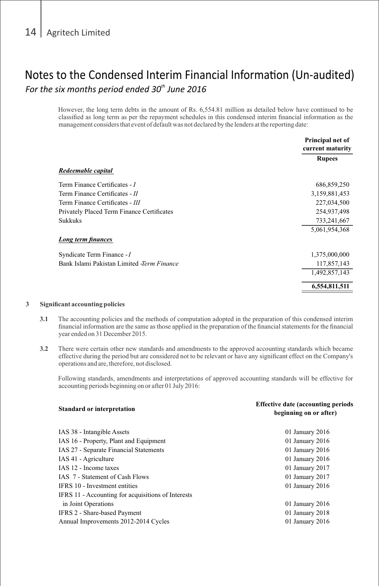However, the long term debts in the amount of Rs. 6,554.81 million as detailed below have continued to be classified as long term as per the repayment schedules in this condensed interim financial information as the management considers that event of default was not declared by the lenders at the reporting date:

|                                                   | Principal net of<br>current maturity |
|---------------------------------------------------|--------------------------------------|
|                                                   | <b>Rupees</b>                        |
| Redeemable capital                                |                                      |
| Term Finance Certificates - I                     | 686,859,250                          |
| Term Finance Certificates - II                    | 3,159,881,453                        |
| Term Finance Certificates - III                   | 227,034,500                          |
| Privately Placed Term Finance Certificates        | 254,937,498                          |
| <b>Sukkuks</b>                                    | 733,241,667                          |
|                                                   | 5,061,954,368                        |
| Long term finances                                |                                      |
| Syndicate Term Finance - I                        | 1,375,000,000                        |
| Bank Islami Pakistan Limited <i>-Term Finance</i> | 117,857,143                          |
|                                                   | 1,492,857,143                        |
|                                                   | 6,554,811,511                        |
|                                                   |                                      |

#### **3 Significant accounting policies**

**Standard or interpretation** 

- **3.1** The accounting policies and the methods of computation adopted in the preparation of this condensed interim financial information are the same as those applied in the preparation of the financial statements for the financial year ended on 31 December 2015.
- **3.2** There were certain other new standards and amendments to the approved accounting standards which became effective during the period but are considered not to be relevant or have any significant effect on the Company's operations and are, therefore, not disclosed.

Following standards, amendments and interpretations of approved accounting standards will be effective for accounting periods beginning on or after 01 July 2016:

**Effective date (accounting periods** 

| beginning on or after) |
|------------------------|
| 01 January 2016        |
| 01 January 2016        |
| 01 January 2016        |
| 01 January 2016        |
| 01 January 2017        |
| 01 January 2017        |
| 01 January 2016        |
|                        |
| 01 January 2016        |
| 01 January 2018        |
| 01 January 2016        |
|                        |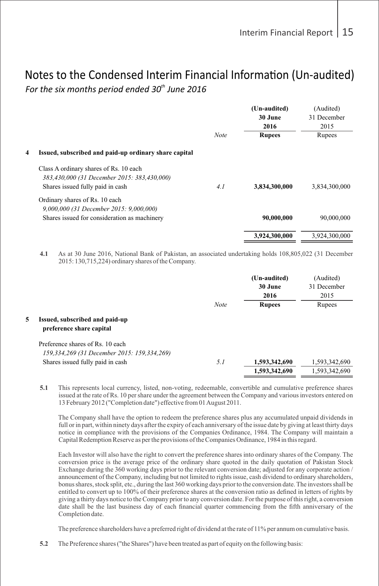|   |                                                                                       |             | (Un-audited)  | (Audited)     |
|---|---------------------------------------------------------------------------------------|-------------|---------------|---------------|
|   |                                                                                       |             | 30 June       | 31 December   |
|   |                                                                                       |             | 2016          | 2015          |
|   |                                                                                       | <b>Note</b> | <b>Rupees</b> | Rupees        |
| 4 | Issued, subscribed and paid-up ordinary share capital                                 |             |               |               |
|   | Class A ordinary shares of Rs. 10 each<br>383,430,000 (31 December 2015: 383,430,000) |             |               |               |
|   | Shares issued fully paid in cash                                                      | 4.1         | 3,834,300,000 | 3,834,300,000 |
|   | Ordinary shares of Rs. 10 each                                                        |             |               |               |
|   | 9,000,000 (31 December 2015: 9,000,000)                                               |             |               |               |
|   | Shares issued for consideration as machinery                                          |             | 90,000,000    | 90,000,000    |
|   |                                                                                       |             | 3,924,300,000 | 3,924,300,000 |
|   |                                                                                       |             |               |               |

**4.1** As at 30 June 2016, National Bank of Pakistan, an associated undertaking holds 108,805,022 (31 December 2015: 130,715,224) ordinary shares of the Company.

|    |                                             |             | (Un-audited)  | (Audited)     |
|----|---------------------------------------------|-------------|---------------|---------------|
|    |                                             |             | 30 June       | 31 December   |
|    |                                             |             | 2016          | 2015          |
|    |                                             | <b>Note</b> | <b>Rupees</b> | Rupees        |
| 5. | Issued, subscribed and paid-up              |             |               |               |
|    | preference share capital                    |             |               |               |
|    | Preference shares of Rs. 10 each            |             |               |               |
|    | 159,334,269 (31 December 2015: 159,334,269) |             |               |               |
|    | Shares issued fully paid in cash            | 5.1         | 1,593,342,690 | 1,593,342,690 |
|    |                                             |             | 1,593,342,690 | 1,593,342,690 |
|    |                                             |             |               |               |

**5.1** This represents local currency, listed, non-voting, redeemable, convertible and cumulative preference shares issued at the rate of Rs. 10 per share under the agreement between the Company and various investors entered on 13 February 2012 ("Completion date") effective from 01 August 2011.

The Company shall have the option to redeem the preference shares plus any accumulated unpaid dividends in full or in part, within ninety days after the expiry of each anniversary of the issue date by giving at least thirty days notice in compliance with the provisions of the Companies Ordinance, 1984. The Company will maintain a Capital Redemption Reserve as per the provisions of the Companies Ordinance, 1984 in this regard.

Each Investor will also have the right to convert the preference shares into ordinary shares of the Company. The conversion price is the average price of the ordinary share quoted in the daily quotation of Pakistan Stock Exchange during the 360 working days prior to the relevant conversion date; adjusted for any corporate action / announcement of the Company, including but not limited to rights issue, cash dividend to ordinary shareholders, bonus shares, stock split, etc., during the last 360 working days prior to the conversion date. The investors shall be entitled to convert up to 100% of their preference shares at the conversion ratio as defined in letters of rights by giving a thirty days notice to the Company prior to any conversion date. For the purpose of this right, a conversion date shall be the last business day of each financial quarter commencing from the fifth anniversary of the Completion date.

The preference shareholders have a preferred right of dividend at the rate of 11% per annum on cumulative basis.

**5.2** The Preference shares ("the Shares") have been treated as part of equity on the following basis: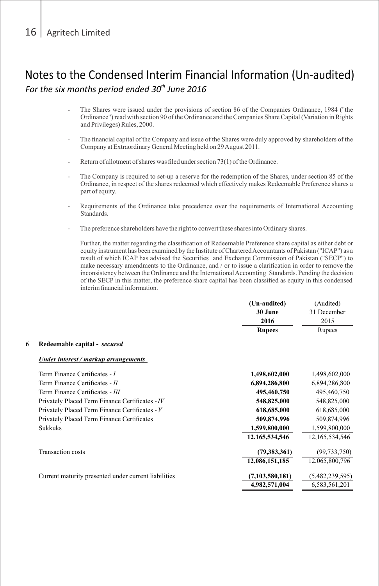- The Shares were issued under the provisions of section 86 of the Companies Ordinance, 1984 ("the Ordinance") read with section 90 of the Ordinance and the Companies Share Capital (Variation in Rights and Privileges) Rules, 2000.
- The financial capital of the Company and issue of the Shares were duly approved by shareholders of the Company at Extraordinary General Meeting held on 29 August 2011.
- Return of allotment of shares was filed under section 73(1) of the Ordinance.
- The Company is required to set-up a reserve for the redemption of the Shares, under section 85 of the Ordinance, in respect of the shares redeemed which effectively makes Redeemable Preference shares a part of equity.
- Requirements of the Ordinance take precedence over the requirements of International Accounting Standards.
- The preference shareholders have the right to convert these shares into Ordinary shares.

Further, the matter regarding the classification of Redeemable Preference share capital as either debt or equity instrument has been examined by the Institute of Chartered Accountants of Pakistan ("ICAP") as a result of which ICAP has advised the Securities and Exchange Commission of Pakistan ("SECP") to make necessary amendments to the Ordinance, and / or to issue a clarification in order to remove the inconsistency between the Ordinance and the International Accounting Standards. Pending the decision of the SECP in this matter, the preference share capital has been classified as equity in this condensed interim financial information.

|   |                                                      | (Un-audited)      | (Audited)       |
|---|------------------------------------------------------|-------------------|-----------------|
|   |                                                      | 30 June           | 31 December     |
|   |                                                      | 2016              | 2015            |
|   |                                                      | <b>Rupees</b>     | Rupees          |
| 6 | Redeemable capital - secured                         |                   |                 |
|   | Under interest / markup arrangements                 |                   |                 |
|   | Term Finance Certificates - I                        | 1,498,602,000     | 1,498,602,000   |
|   | Term Finance Certificates - II                       | 6,894,286,800     | 6,894,286,800   |
|   | Term Finance Certificates - III                      | 495,460,750       | 495,460,750     |
|   | Privately Placed Term Finance Certificates - IV      | 548,825,000       | 548,825,000     |
|   | Privately Placed Term Finance Certificates - V       | 618,685,000       | 618,685,000     |
|   | Privately Placed Term Finance Certificates           | 509,874,996       | 509,874,996     |
|   | <b>Sukkuks</b>                                       | 1,599,800,000     | 1,599,800,000   |
|   |                                                      | 12, 165, 534, 546 | 12,165,534,546  |
|   | <b>Transaction</b> costs                             | (79, 383, 361)    | (99, 733, 750)  |
|   |                                                      | 12,086,151,185    | 12,065,800,796  |
|   | Current maturity presented under current liabilities | (7,103,580,181)   | (5,482,239,595) |
|   |                                                      | 4,982,571,004     | 6,583,561,201   |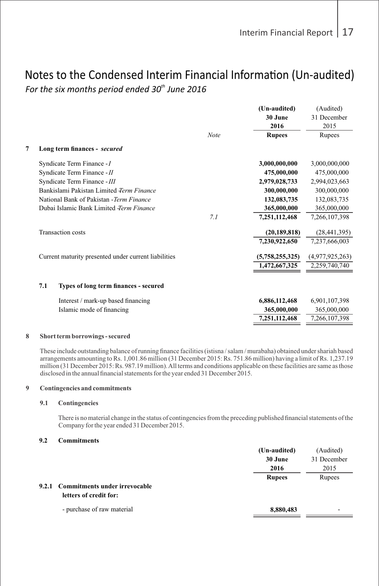|   |                                                      |             | (Un-audited)<br>30 June<br>2016 | (Audited)<br>31 December<br>2015 |
|---|------------------------------------------------------|-------------|---------------------------------|----------------------------------|
|   |                                                      | <b>Note</b> | <b>Rupees</b>                   | Rupees                           |
| 7 | Long term finances - secured                         |             |                                 |                                  |
|   | Syndicate Term Finance - I                           |             | 3,000,000,000                   | 3,000,000,000                    |
|   | Syndicate Term Finance - II                          |             | 475,000,000                     | 475,000,000                      |
|   | Syndicate Term Finance - III                         |             | 2,979,028,733                   | 2,994,023,663                    |
|   | Bankislami Pakistan Limited Term Finance             |             | 300,000,000                     | 300,000,000                      |
|   | National Bank of Pakistan - Term Finance             |             | 132,083,735                     | 132,083,735                      |
|   | Dubai Islamic Bank Limited <i>Term Finance</i>       |             | 365,000,000                     | 365,000,000                      |
|   |                                                      | 7.1         | 7,251,112,468                   | 7,266,107,398                    |
|   | <b>Transaction</b> costs                             |             | (20, 189, 818)                  | (28, 441, 395)                   |
|   |                                                      |             | 7.230.922.650                   | 7.237.666.003                    |
|   | Current maturity presented under current liabilities |             | (5,758,255,325)                 | (4,977,925,263)                  |
|   |                                                      |             | 1,472,667,325                   | 2,259,740,740                    |
|   | 7.1<br>Types of long term finances - secured         |             |                                 |                                  |
|   | Interest / mark-up based financing                   |             | 6,886,112,468                   | 6,901,107,398                    |
|   | Islamic mode of financing                            |             | 365,000,000                     | 365,000,000                      |
|   |                                                      |             | 7,251,112,468                   | 7,266,107,398                    |
|   |                                                      |             |                                 |                                  |

#### **8 Short term borrowings - secured**

These include outstanding balance of running finance facilities (istisna / salam / murabaha) obtained under shariah based arrangements amounting to Rs. 1,001.86 million (31 December 2015: Rs. 751.86 million) having a limit of Rs. 1,237.19 million (31 December 2015: Rs. 987.19 million). All terms and conditions applicable on these facilities are same as those disclosed in the annual financial statements for the year ended 31 December 2015.

#### **9 Contingencies and commitments**

### **9.1 Contingencies**

There is no material change in the status of contingencies from the preceding published financial statements of the Company for the year ended 31 December 2015.

### **9.2 Commitments**

|                                     | (Un-audited)<br>30 June<br>2016 | (Audited)<br>31 December<br>2015 |
|-------------------------------------|---------------------------------|----------------------------------|
|                                     | <b>Rupees</b>                   | Rupees                           |
| 9.2.1 Commitments under irrevocable |                                 |                                  |
| letters of credit for:              |                                 |                                  |
| - purchase of raw material          | 8,880,483                       | -                                |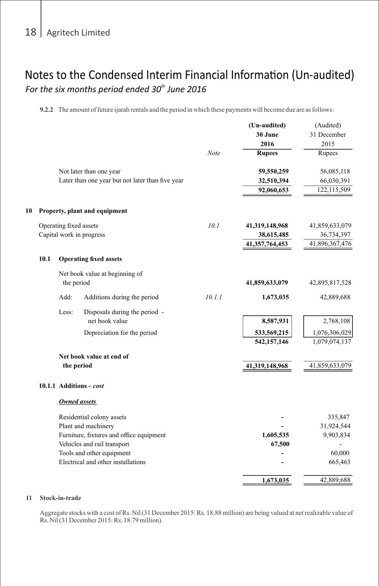**9.2.2** The amount of future ijarah rentals and the period in which these payments will become due are as follows:

|    |      |                        |                                                                                                                                                                                                | Note   | (Un-audited)<br>30 June<br>2016<br><b>Rupees</b> | (Audited)<br>31 December<br>2015<br>Rupees              |
|----|------|------------------------|------------------------------------------------------------------------------------------------------------------------------------------------------------------------------------------------|--------|--------------------------------------------------|---------------------------------------------------------|
|    |      |                        | Not later than one year<br>Later than one year but not later than five year                                                                                                                    |        | 59,550,259<br>32,510,394<br>92,060,653           | 56,085,118<br>66,030,391<br>122,115,509                 |
| 10 |      |                        | Property, plant and equipment                                                                                                                                                                  |        |                                                  |                                                         |
|    |      | Operating fixed assets | Capital work in progress                                                                                                                                                                       | 10.1   | 41,319,148,968<br>38,615,485<br>41,357,764,453   | 41,859,633,079<br>36,734,397<br>41,896,367,476          |
|    | 10.1 |                        | <b>Operating fixed assets</b>                                                                                                                                                                  |        |                                                  |                                                         |
|    |      | the period             | Net book value at beginning of                                                                                                                                                                 |        | 41,859,633,079                                   | 42,895,817,528                                          |
|    |      | Add:                   | Additions during the period                                                                                                                                                                    | 10.1.1 | 1,673,035                                        | 42,889,688                                              |
|    |      | Less:                  | Disposals during the period -<br>net book value<br>Depreciation for the period                                                                                                                 |        | 8,587,931<br>533,569,215<br>542, 157, 146        | 2,768,108<br>1,076,306,029<br>1,079,074,137             |
|    |      | the period             | Net book value at end of                                                                                                                                                                       |        | 41,319,148,968                                   | 41,859,633,079                                          |
|    |      |                        | 10.1.1 Additions - cost                                                                                                                                                                        |        |                                                  |                                                         |
|    |      | Owned assets           |                                                                                                                                                                                                |        |                                                  |                                                         |
|    |      |                        | Residential colony assets<br>Plant and machinery<br>Furniture, fixtures and office equipment<br>Vehicles and rail transport<br>Tools and other equipment<br>Electrical and other installations |        | 1,605,535<br>67,500                              | 335,847<br>31,924,544<br>9,903,834<br>60,000<br>665,463 |
|    |      |                        |                                                                                                                                                                                                |        | 1,673,035                                        | 42,889,688                                              |
|    |      |                        |                                                                                                                                                                                                |        |                                                  |                                                         |

### **11 Stock-in-trade**

 Aggregate stocks with a cost of Rs. Nil (31 December 2015: Rs. 18.88 million) are being valued at net realizable value of Rs. Nil (31 December 2015: Rs. 18.79 million).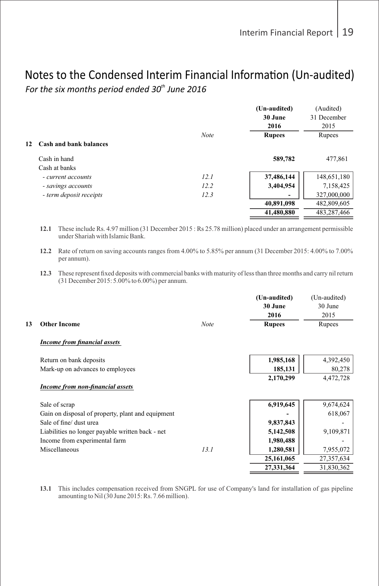|    |                         |             | (Un-audited)  | (Audited)   |
|----|-------------------------|-------------|---------------|-------------|
|    |                         |             | 30 June       | 31 December |
|    |                         |             | 2016          | 2015        |
|    |                         | <b>Note</b> | <b>Rupees</b> | Rupees      |
| 12 | Cash and bank balances  |             |               |             |
|    | Cash in hand            |             | 589,782       | 477,861     |
|    | Cash at banks           |             |               |             |
|    | - current accounts      | 12.1        | 37,486,144    | 148,651,180 |
|    | - savings accounts      | 12.2        | 3,404,954     | 7,158,425   |
|    | - term deposit receipts | 12.3        |               | 327,000,000 |
|    |                         |             | 40,891,098    | 482,809,605 |
|    |                         |             | 41,480,880    | 483,287,466 |
|    |                         |             |               |             |

**12.1** These include Rs. 4.97 million (31 December 2015 : Rs 25.78 million) placed under an arrangement permissible under Shariah with Islamic Bank.

**12.2** Rate of return on saving accounts ranges from 4.00% to 5.85% per annum (31 December 2015: 4.00% to 7.00% per annum).

**12.3** These represent fixed deposits with commercial banks with maturity of less than three months and carry nil return (31 December 2015: 5.00% to 6.00%) per annum.

| 13 | <b>Other Income</b>                               | <b>Note</b> | (Un-audited)<br>30 June<br>2016<br><b>Rupees</b> | (Un-audited)<br>30 June<br>2015<br>Rupees |
|----|---------------------------------------------------|-------------|--------------------------------------------------|-------------------------------------------|
|    | <b>Income from financial assets</b>               |             |                                                  |                                           |
|    | Return on bank deposits                           |             | 1,985,168                                        | 4,392,450                                 |
|    | Mark-up on advances to employees                  |             | 185,131                                          | 80,278                                    |
|    |                                                   |             | 2,170,299                                        | 4,472,728                                 |
|    | Income from non-financial assets                  |             |                                                  |                                           |
|    | Sale of scrap                                     |             | 6,919,645                                        | 9,674,624                                 |
|    | Gain on disposal of property, plant and equipment |             |                                                  | 618,067                                   |
|    | Sale of fine/ dust urea                           |             | 9,837,843                                        |                                           |
|    | Liabilities no longer payable written back - net  |             | 5,142,508                                        | 9,109,871                                 |
|    | Income from experimental farm                     |             | 1,980,488                                        |                                           |
|    | Miscellaneous                                     | 13.1        | 1,280,581                                        | 7,955,072                                 |
|    |                                                   |             | 25,161,065                                       | 27,357,634                                |
|    |                                                   |             | 27,331,364                                       | 31,830,362                                |

**13.1** This includes compensation received from SNGPL for use of Company's land for installation of gas pipeline amounting to Nil (30 June 2015: Rs. 7.66 million).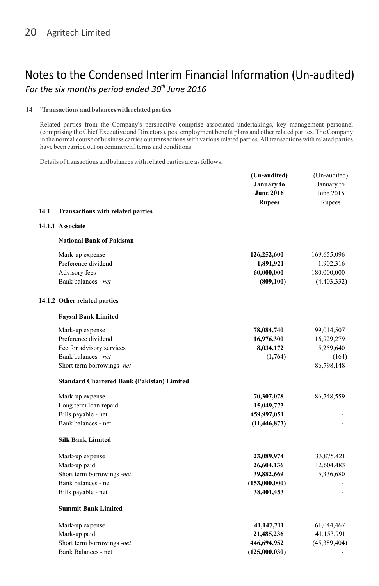#### **14 `Transactions and balances with related parties**

Related parties from the Company's perspective comprise associated undertakings, key management personnel (comprising the Chief Executive and Directors), post employment benefit plans and other related parties. The Company in the normal course of business carries out transactions with various related parties. All transactions with related parties have been carried out on commercial terms and conditions.

Details of transactions and balances with related parties are as follows:

|                                                   | (Un-audited)<br><b>January</b> to<br><b>June 2016</b> | (Un-audited)<br>January to<br>June 2015 |
|---------------------------------------------------|-------------------------------------------------------|-----------------------------------------|
|                                                   | <b>Rupees</b>                                         | Rupees                                  |
| 14.1<br>Transactions with related parties         |                                                       |                                         |
| 14.1.1 Associate                                  |                                                       |                                         |
| <b>National Bank of Pakistan</b>                  |                                                       |                                         |
| Mark-up expense                                   | 126,252,600                                           | 169,655,096                             |
| Preference dividend                               | 1,891,921                                             | 1,902,316                               |
| Advisory fees                                     | 60,000,000                                            | 180,000,000                             |
| Bank balances - net                               | (809, 100)                                            | (4,403,332)                             |
| 14.1.2 Other related parties                      |                                                       |                                         |
| <b>Faysal Bank Limited</b>                        |                                                       |                                         |
| Mark-up expense                                   | 78,084,740                                            | 99,014,507                              |
| Preference dividend                               | 16,976,300                                            | 16,929,279                              |
| Fee for advisory services                         | 8,034,172                                             | 5,259,640                               |
| Bank balances - net                               | (1,764)                                               | (164)                                   |
| Short term borrowings -net                        |                                                       | 86,798,148                              |
| <b>Standard Chartered Bank (Pakistan) Limited</b> |                                                       |                                         |
| Mark-up expense                                   | 70,307,078                                            | 86,748,559                              |
| Long term loan repaid                             | 15,049,773                                            |                                         |
| Bills payable - net                               | 459,997,051                                           |                                         |
| Bank balances - net                               | (11, 446, 873)                                        |                                         |
| <b>Silk Bank Limited</b>                          |                                                       |                                         |
| Mark-up expense                                   | 23,089,974                                            | 33,875,421                              |
| Mark-up paid                                      | 26,604,136                                            | 12,604,483                              |
| Short term borrowings -net                        | 39,882,669                                            | 5,336,680                               |
| Bank balances - net                               | (153,000,000)                                         |                                         |
| Bills payable - net                               | 38,401,453                                            |                                         |
| <b>Summit Bank Limited</b>                        |                                                       |                                         |
| Mark-up expense                                   | 41,147,711                                            | 61,044,467                              |
| Mark-up paid                                      | 21,485,236                                            | 41,153,991                              |
| Short term borrowings -net                        | 446,694,952                                           | (45,389,404)                            |
| Bank Balances - net                               | (125,000,030)                                         |                                         |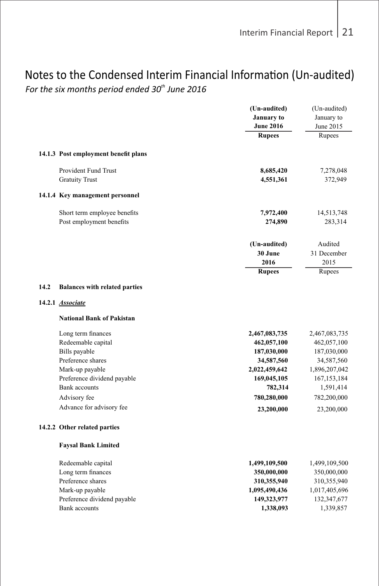## Notes to the Condensed Interim Financial Information (Un-audited)

For the six months period ended 30<sup>th</sup> June 2016

|      |                                                                 | (Un-audited)     | (Un-audited)  |
|------|-----------------------------------------------------------------|------------------|---------------|
|      |                                                                 | January to       | January to    |
|      |                                                                 | <b>June 2016</b> | June 2015     |
|      |                                                                 | <b>Rupees</b>    | Rupees        |
|      |                                                                 |                  |               |
|      | 14.1.3 Post employment benefit plans                            |                  |               |
|      | <b>Provident Fund Trust</b>                                     | 8,685,420        | 7,278,048     |
|      | <b>Gratuity Trust</b>                                           | 4,551,361        | 372,949       |
|      | 14.1.4 Key management personnel                                 |                  |               |
|      | Short term employee benefits                                    | 7,972,400        | 14,513,748    |
|      | Post employment benefits                                        | 274,890          | 283,314       |
|      |                                                                 |                  |               |
|      |                                                                 | (Un-audited)     | Audited       |
|      |                                                                 | 30 June          | 31 December   |
|      |                                                                 | 2016             | 2015          |
|      |                                                                 | <b>Rupees</b>    | Rupees        |
| 14.2 | <b>Balances with related parties</b><br>14.2.1 <b>Associate</b> |                  |               |
|      | <b>National Bank of Pakistan</b>                                |                  |               |
|      | Long term finances                                              | 2,467,083,735    | 2,467,083,735 |
|      | Redeemable capital                                              | 462,057,100      | 462,057,100   |
|      | Bills payable                                                   | 187,030,000      | 187,030,000   |
|      | Preference shares                                               | 34,587,560       | 34,587,560    |
|      | Mark-up payable                                                 | 2,022,459,642    | 1,896,207,042 |
|      | Preference dividend payable                                     | 169,045,105      | 167, 153, 184 |
|      | Bank accounts                                                   | 782,314          | 1,591,414     |
|      | Advisory fee                                                    | 780,280,000      | 782,200,000   |
|      | Advance for advisory fee                                        | 23,200,000       | 23,200,000    |
|      | 14.2.2 Other related parties                                    |                  |               |
|      | <b>Faysal Bank Limited</b>                                      |                  |               |
|      | Redeemable capital                                              | 1,499,109,500    | 1,499,109,500 |
|      | Long term finances                                              | 350,000,000      | 350,000,000   |
|      | Preference shares                                               | 310,355,940      | 310,355,940   |
|      | Mark-up payable                                                 | 1,095,490,436    | 1,017,405,696 |
|      | Preference dividend payable                                     | 149,323,977      | 132,347,677   |
|      | <b>Bank accounts</b>                                            | 1,338,093        | 1,339,857     |
|      |                                                                 |                  |               |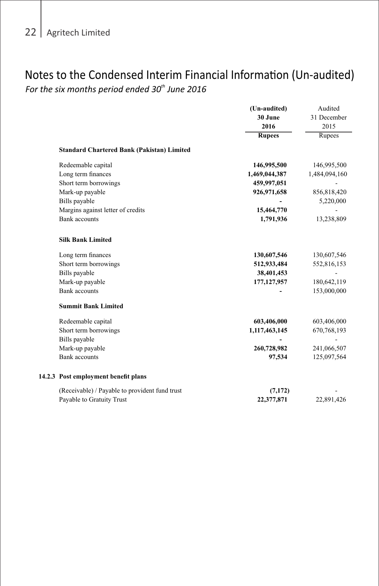# Notes to the Condensed Interim Financial Information (Un-audited)

*For the six months period ended 30<sup>th</sup> June 2016* 

|                                                   | (Un-audited)  | Audited       |
|---------------------------------------------------|---------------|---------------|
|                                                   | 30 June       | 31 December   |
|                                                   | 2016          | 2015          |
|                                                   | <b>Rupees</b> | Rupees        |
| <b>Standard Chartered Bank (Pakistan) Limited</b> |               |               |
| Redeemable capital                                | 146,995,500   | 146,995,500   |
| Long term finances                                | 1,469,044,387 | 1,484,094,160 |
| Short term borrowings                             | 459,997,051   |               |
| Mark-up payable                                   | 926,971,658   | 856,818,420   |
| Bills payable                                     |               | 5,220,000     |
| Margins against letter of credits                 | 15,464,770    |               |
| <b>Bank</b> accounts                              | 1,791,936     | 13,238,809    |
| <b>Silk Bank Limited</b>                          |               |               |
| Long term finances                                | 130,607,546   | 130,607,546   |
| Short term borrowings                             | 512,933,484   | 552,816,153   |
| Bills payable                                     | 38,401,453    |               |
| Mark-up payable                                   | 177, 127, 957 | 180,642,119   |
| <b>Bank accounts</b>                              |               | 153,000,000   |
| <b>Summit Bank Limited</b>                        |               |               |
| Redeemable capital                                | 603,406,000   | 603,406,000   |
| Short term borrowings                             | 1,117,463,145 | 670,768,193   |
| Bills payable                                     |               |               |
| Mark-up payable                                   | 260,728,982   | 241,066,507   |
| <b>Bank accounts</b>                              | 97,534        | 125,097,564   |
| 14.2.3 Post employment benefit plans              |               |               |
| (Receivable) / Payable to provident fund trust    | (7, 172)      |               |
| Payable to Gratuity Trust                         | 22,377,871    | 22.891.426    |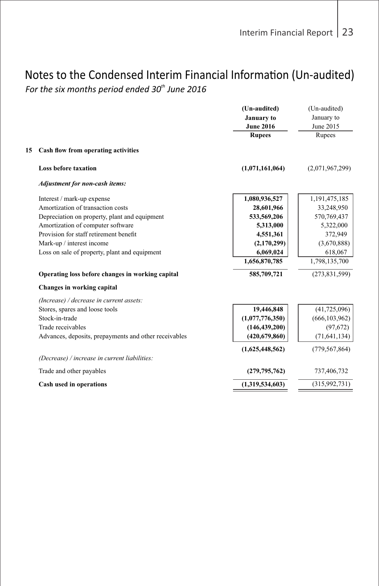## Notes to the Condensed Interim Financial Information (Un-audited)

For the six months period ended 30<sup>th</sup> June 2016

|    |                                                       | (Un-audited)<br>January to<br><b>June 2016</b> | (Un-audited)<br>January to<br>June 2015 |
|----|-------------------------------------------------------|------------------------------------------------|-----------------------------------------|
|    |                                                       | <b>Rupees</b>                                  | Rupees                                  |
| 15 | Cash flow from operating activities                   |                                                |                                         |
|    | <b>Loss before taxation</b>                           | (1,071,161,064)                                | (2,071,967,299)                         |
|    | Adjustment for non-cash items:                        |                                                |                                         |
|    | Interest / mark-up expense                            | 1,080,936,527                                  | 1,191,475,185                           |
|    | Amortization of transaction costs                     | 28,601,966                                     | 33,248,950                              |
|    | Depreciation on property, plant and equipment         | 533,569,206                                    | 570,769,437                             |
|    | Amortization of computer software                     | 5,313,000                                      | 5,322,000                               |
|    | Provision for staff retirement benefit                | 4,551,361                                      | 372,949                                 |
|    | Mark-up / interest income                             | (2,170,299)                                    | (3,670,888)                             |
|    | Loss on sale of property, plant and equipment         | 6,069,024                                      | 618,067                                 |
|    |                                                       | 1,656,870,785                                  | 1,798,135,700                           |
|    | Operating loss before changes in working capital      | 585,709,721                                    | (273, 831, 599)                         |
|    | Changes in working capital                            |                                                |                                         |
|    | (Increase) / decrease in current assets:              |                                                |                                         |
|    | Stores, spares and loose tools                        | 19,446,848                                     | (41, 725, 096)                          |
|    | Stock-in-trade                                        | (1,077,776,350)                                | (666, 103, 962)                         |
|    | Trade receivables                                     | (146, 439, 200)                                | (97, 672)                               |
|    | Advances, deposits, prepayments and other receivables | (420, 679, 860)                                | (71, 641, 134)                          |
|    |                                                       | (1,625,448,562)                                | (779, 567, 864)                         |
|    | (Decrease) / increase in current liabilities:         |                                                |                                         |
|    | Trade and other payables                              | (279, 795, 762)                                | 737,406,732                             |
|    | Cash used in operations                               | (1,319,534,603)                                | (315,992,731)                           |
|    |                                                       |                                                |                                         |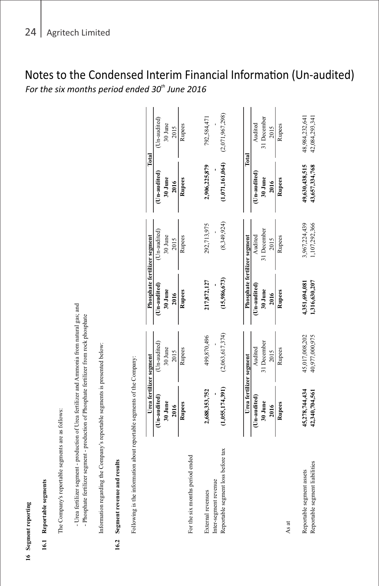|      | 16 Segment reporting                                                                                                                                                                   |                                  |                                  |                                |                                |                                  |                                  |
|------|----------------------------------------------------------------------------------------------------------------------------------------------------------------------------------------|----------------------------------|----------------------------------|--------------------------------|--------------------------------|----------------------------------|----------------------------------|
|      | 16.1 Reportable segments                                                                                                                                                               |                                  |                                  |                                |                                |                                  |                                  |
|      | The Company's reportable segments are as follows:                                                                                                                                      |                                  |                                  |                                |                                |                                  |                                  |
|      | - Urea fertilizer segment - production of Urea fertilizer and Ammonia from natural gas; and<br>- Phosphate fertilizer segment - production of Phosphate fertilizer from rock phosphate |                                  |                                  |                                |                                |                                  |                                  |
|      | Information regarding the Company's reportable segments is presented below:                                                                                                            |                                  |                                  |                                |                                |                                  |                                  |
| 16.2 | Segment revenue and results                                                                                                                                                            |                                  |                                  |                                |                                |                                  |                                  |
|      | Following is the information about reportable segments of the Company:                                                                                                                 |                                  |                                  |                                |                                |                                  |                                  |
|      |                                                                                                                                                                                        | Urea fertilizer segment          |                                  | Phosphate fertilizer segment   |                                | Total                            |                                  |
|      |                                                                                                                                                                                        | (Un-audited)                     | $Un-audited)$                    | (Un-audited)                   | (Un-audited)                   | (Un-audited)                     | (Un-audited)                     |
|      |                                                                                                                                                                                        | 30 June                          | 30 June                          | 30 June                        | 30 June                        | 30 June                          | $30\;{\rm Junc}$                 |
|      |                                                                                                                                                                                        | 2016                             | 2015                             | 2016                           | 2015                           | 2016                             | 2015                             |
|      |                                                                                                                                                                                        | Rupees                           | Rupees                           | Rupees                         | Rupees                         | Rupees                           | Rupees                           |
|      | For the six months period ended                                                                                                                                                        |                                  |                                  |                                |                                |                                  |                                  |
|      | External revenues                                                                                                                                                                      | 2,688,353,752                    | 499,870,496                      | 217,872,127                    | 292,713,975                    | 2,906,225,879                    | 792,584,471                      |
|      | Reportable segment loss before tax<br>Inter-segment revenue                                                                                                                            | (1,055,174,391)                  | (2,063,617,374)                  | (15,986,673)                   | (8,349,924)                    | (1,071,161,064)                  | (2,071,967,298)                  |
|      |                                                                                                                                                                                        |                                  |                                  |                                |                                |                                  |                                  |
|      |                                                                                                                                                                                        | Urea fertilizer segment          |                                  | Phosphate fertilizer segment   |                                | Total                            |                                  |
|      |                                                                                                                                                                                        | (Un-audited)                     | Audited                          | (Un-audited)                   | Audited                        | (Un-audited)                     | Audited                          |
|      |                                                                                                                                                                                        | 30 June                          | 31 December                      | 30 June                        | 31 December                    | 30 June                          | 31 December                      |
|      |                                                                                                                                                                                        | 2016                             | 2015                             | 2016                           | 2015                           | 2016                             | 2015                             |
|      |                                                                                                                                                                                        | Rupees                           | Rupees                           | Rupees                         | Rupees                         | Rupees                           | Rupees                           |
|      | As at                                                                                                                                                                                  |                                  |                                  |                                |                                |                                  |                                  |
|      | Reportable segment liabilities<br>Reportable segment assets                                                                                                                            | 45,278,744,434<br>42,340,704,561 | 45,017,008,202<br>40,977,000,975 | 4,351,694,081<br>1,316,630,207 | 3,967,224,439<br>1,107,292,366 | 49,630,438,515<br>43,657,334,768 | 48,984,232,641<br>42,084,293,341 |
|      |                                                                                                                                                                                        |                                  |                                  |                                |                                |                                  |                                  |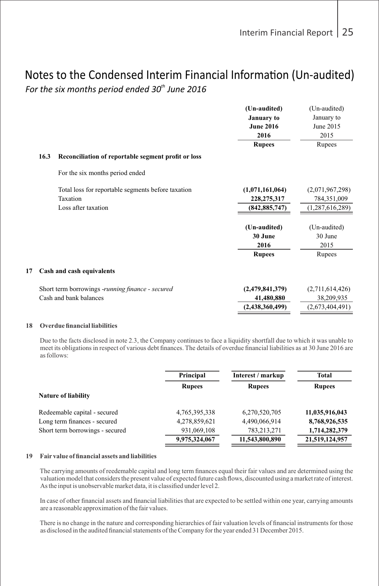### For the six months period ended 30<sup>th</sup> June 2016 Notes to the Condensed Interim Financial Information (Un-audited) <br>Fer the six menths naried anded 20<sup>th</sup> lives 2016

| 16.3 | Reconciliation of reportable segment profit or loss                                   | (Un-audited)<br>January to<br><b>June 2016</b><br>2016<br><b>Rupees</b> | (Un-audited)<br>January to<br>June 2015<br>2015<br>Rupees |
|------|---------------------------------------------------------------------------------------|-------------------------------------------------------------------------|-----------------------------------------------------------|
|      | For the six months period ended                                                       |                                                                         |                                                           |
|      | Total loss for reportable segments before taxation<br>Taxation<br>Loss after taxation | (1,071,161,064)<br>228, 275, 317<br>(842, 885, 747)                     | (2,071,967,298)<br>784,351,009<br>(1,287,616,289)         |
|      |                                                                                       | (Un-audited)<br>30 June<br>2016                                         | (Un-audited)<br>30 June<br>2015                           |
|      |                                                                                       | <b>Rupees</b>                                                           | Rupees                                                    |
| 17   | Cash and cash equivalents                                                             |                                                                         |                                                           |
|      | Short term borrowings -running finance - secured<br>Cash and bank balances            | (2,479,841,379)<br>41,480,880<br>(2,438,360,499)                        | (2,711,614,426)<br>38,209,935<br>(2,673,404,491)          |
|      |                                                                                       |                                                                         |                                                           |

#### **18 Overdue financial liabilities**

Due to the facts disclosed in note 2.3, the Company continues to face a liquidity shortfall due to which it was unable to meet its obligations in respect of various debt finances. The details of overdue financial liabilities as at 30 June 2016 are as follows:

|                                 | Principal     | Interest / markup | Total          |
|---------------------------------|---------------|-------------------|----------------|
|                                 | <b>Rupees</b> | <b>Rupees</b>     | <b>Rupees</b>  |
| <b>Nature of liability</b>      |               |                   |                |
| Redeemable capital - secured    | 4,765,395,338 | 6,270,520,705     | 11,035,916,043 |
| Long term finances - secured    | 4,278,859,621 | 4,490,066,914     | 8,768,926,535  |
| Short term borrowings - secured | 931,069,108   | 783,213,271       | 1,714,282,379  |
|                                 | 9,975,324,067 | 11,543,800,890    | 21,519,124,957 |

#### **19 Fair value of financial assets and liabilities**

The carrying amounts of reedemable capital and long term finances equal their fair values and are determined using the valuation model that considers the present value of expected future cash flows, discounted using a market rate of interest. As the input is unobservable market data, it is classified under level 2.

In case of other financial assets and financial liabilities that are expected to be settled within one year, carrying amounts are a reasonable approximation of the fair values.

There is no change in the nature and corresponding hierarchies of fair valuation levels of financial instruments for those as disclosed in the audited financial statements of the Company for the year ended 31 December 2015.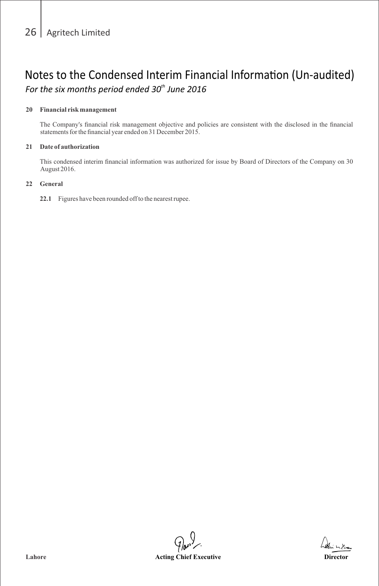#### **20 Financial risk management**

The Company's financial risk management objective and policies are consistent with the disclosed in the financial statements for the financial year ended on 31 December 2015.

### **21 Date of authorization**

This condensed interim financial information was authorized for issue by Board of Directors of the Company on 30 August 2016.

#### **22 General**

**22.1** Figures have been rounded off to the nearest rupee.

**Lahore Acting Chief Executive Director**

hedin milian